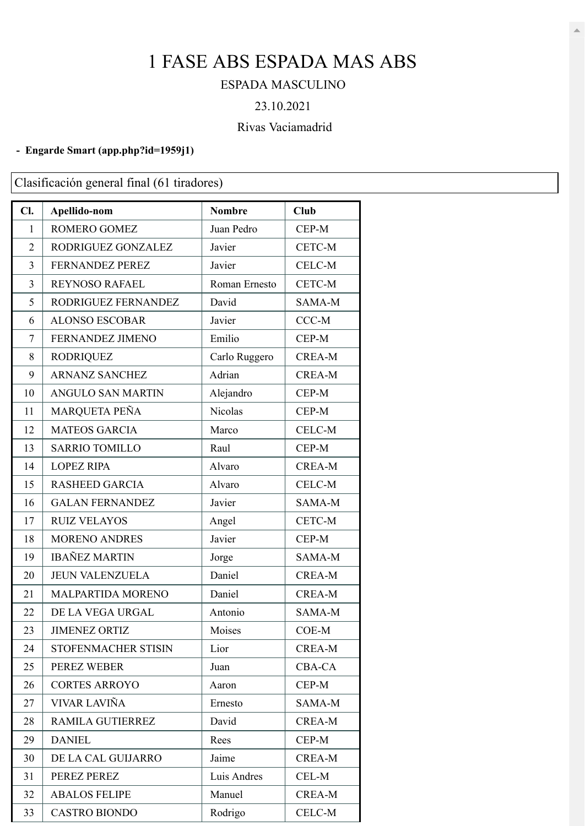# FASE ABS ESPADA MAS ABS

### ESPADA MASCULINO

#### 23.10.2021

## Rivas Vaciamadrid

#### **- Engarde Smart [\(app.php?id=1959j1\)](https://engarde-service.com/app.php?id=1959j1)**

Clasificación general final (61 tiradores)

| Cl.            | Apellido-nom             | <b>Nombre</b> | <b>Club</b>   |
|----------------|--------------------------|---------------|---------------|
| $\mathbf{1}$   | ROMERO GOMEZ             | Juan Pedro    | CEP-M         |
| $\overline{2}$ | RODRIGUEZ GONZALEZ       | Javier        | CETC-M        |
| 3              | <b>FERNANDEZ PEREZ</b>   | Javier        | CELC-M        |
| 3              | <b>REYNOSO RAFAEL</b>    | Roman Ernesto | CETC-M        |
| 5              | RODRIGUEZ FERNANDEZ      | David         | SAMA-M        |
| 6              | <b>ALONSO ESCOBAR</b>    | Javier        | CCC-M         |
| 7              | FERNANDEZ JIMENO         | Emilio        | CEP-M         |
| 8              | <b>RODRIQUEZ</b>         | Carlo Ruggero | <b>CREA-M</b> |
| 9              | <b>ARNANZ SANCHEZ</b>    | Adrian        | <b>CREA-M</b> |
| 10             | <b>ANGULO SAN MARTIN</b> | Alejandro     | CEP-M         |
| 11             | MARQUETA PEÑA            | Nicolas       | CEP-M         |
| 12             | <b>MATEOS GARCIA</b>     | Marco         | <b>CELC-M</b> |
| 13             | <b>SARRIO TOMILLO</b>    | Raul          | CEP-M         |
| 14             | <b>LOPEZ RIPA</b>        | Alvaro        | <b>CREA-M</b> |
| 15             | <b>RASHEED GARCIA</b>    | Alvaro        | CELC-M        |
| 16             | <b>GALAN FERNANDEZ</b>   | Javier        | SAMA-M        |
| 17             | <b>RUIZ VELAYOS</b>      | Angel         | CETC-M        |
| 18             | <b>MORENO ANDRES</b>     | Javier        | CEP-M         |
| 19             | <b>IBAÑEZ MARTIN</b>     | Jorge         | SAMA-M        |
| 20             | <b>JEUN VALENZUELA</b>   | Daniel        | <b>CREA-M</b> |
| 21             | MALPARTIDA MORENO        | Daniel        | <b>CREA-M</b> |
| 22             | DE LA VEGA URGAL         | Antonio       | SAMA-M        |
| 23             | <b>JIMENEZ ORTIZ</b>     | Moises        | COE-M         |
| 24             | STOFENMACHER STISIN      | Lior          | <b>CREA-M</b> |
| 25             | PEREZ WEBER              | Juan          | <b>CBA-CA</b> |
| 26             | <b>CORTES ARROYO</b>     | Aaron         | CEP-M         |
| 27             | VIVAR LAVIÑA             | Ernesto       | SAMA-M        |
| 28             | <b>RAMILA GUTIERREZ</b>  | David         | <b>CREA-M</b> |
| 29             | <b>DANIEL</b>            | Rees          | CEP-M         |
| 30             | DE LA CAL GUIJARRO       | Jaime         | <b>CREA-M</b> |
| 31             | PEREZ PEREZ              | Luis Andres   | CEL-M         |
| 32             | <b>ABALOS FELIPE</b>     | Manuel        | <b>CREA-M</b> |
| 33             | <b>CASTRO BIONDO</b>     | Rodrigo       | CELC-M        |